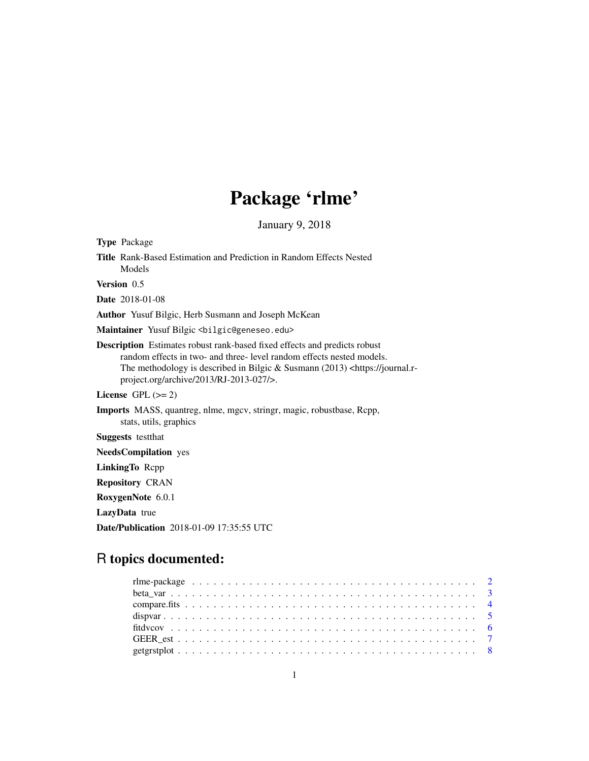# Package 'rlme'

January 9, 2018

| <b>Type Package</b>                                                                                                                                                                                                                                                                                |
|----------------------------------------------------------------------------------------------------------------------------------------------------------------------------------------------------------------------------------------------------------------------------------------------------|
| <b>Title</b> Rank-Based Estimation and Prediction in Random Effects Nested<br>Models                                                                                                                                                                                                               |
| Version 0.5                                                                                                                                                                                                                                                                                        |
| <b>Date</b> 2018-01-08                                                                                                                                                                                                                                                                             |
| Author Yusuf Bilgic, Herb Susmann and Joseph McKean                                                                                                                                                                                                                                                |
| Maintainer Yusuf Bilgic<br>bilgic@geneseo.edu>                                                                                                                                                                                                                                                     |
| <b>Description</b> Estimates robust rank-based fixed effects and predicts robust<br>random effects in two- and three-level random effects nested models.<br>The methodology is described in Bilgic & Susmann $(2013)$ <https: journal.r-<br="">project.org/archive/2013/RJ-2013-027/&gt;.</https:> |
| License $GPL (= 2)$                                                                                                                                                                                                                                                                                |
| <b>Imports</b> MASS, quantreg, nlme, mgcv, stringr, magic, robustbase, Rcpp,<br>stats, utils, graphics                                                                                                                                                                                             |
| <b>Suggests</b> testthat                                                                                                                                                                                                                                                                           |
| <b>NeedsCompilation</b> yes                                                                                                                                                                                                                                                                        |
| LinkingTo Repp                                                                                                                                                                                                                                                                                     |
| <b>Repository CRAN</b>                                                                                                                                                                                                                                                                             |
| RoxygenNote 6.0.1                                                                                                                                                                                                                                                                                  |
| LazyData true                                                                                                                                                                                                                                                                                      |

# R topics documented:

Date/Publication 2018-01-09 17:35:55 UTC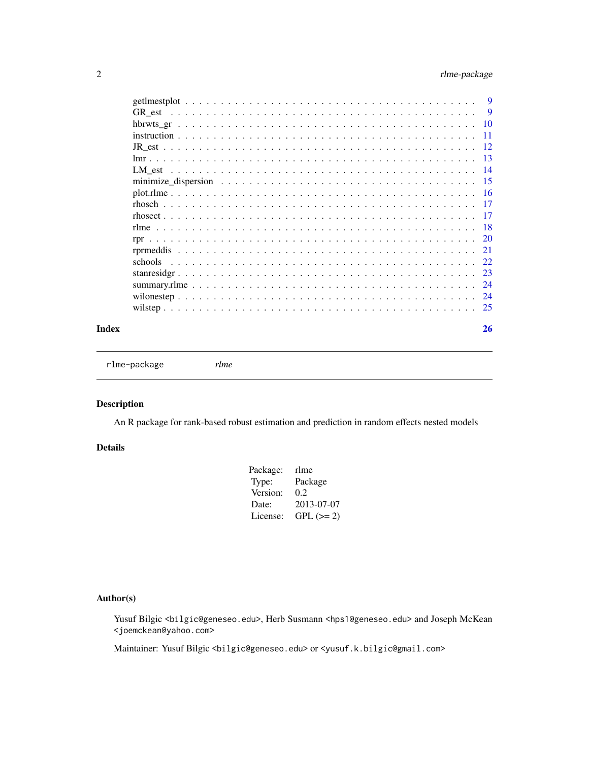# <span id="page-1-0"></span>2 rlme-package

|  | 9   |
|--|-----|
|  | -9  |
|  | -10 |
|  | 11  |
|  | -12 |
|  | -13 |
|  | -14 |
|  | -15 |
|  | -16 |
|  | 17  |
|  | -17 |
|  | -18 |
|  |     |
|  | 21  |
|  |     |
|  | 23  |
|  | 24  |
|  | 24  |
|  |     |
|  |     |

#### **Index** [26](#page-25-0)

rlme-package *rlme*

# Description

An R package for rank-based robust estimation and prediction in random effects nested models

#### Details

| Package: | rlme       |
|----------|------------|
| Type:    | Package    |
| Version: | 0.2        |
| Date:    | 2013-07-07 |
| License: | $GPL (=2)$ |
|          |            |

#### Author(s)

Yusuf Bilgic <bilgic@geneseo.edu>, Herb Susmann <hps1@geneseo.edu> and Joseph McKean <joemckean@yahoo.com>

Maintainer: Yusuf Bilgic <bilgic@geneseo.edu> or <yusuf.k.bilgic@gmail.com>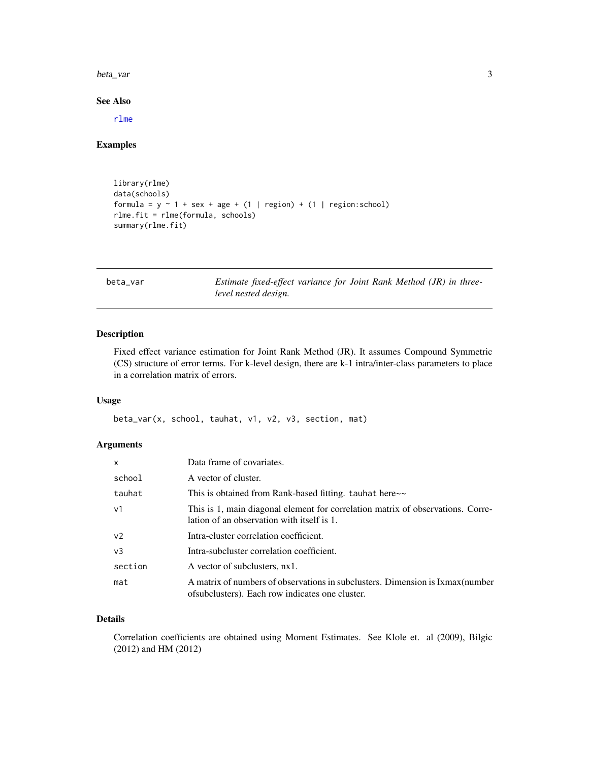<span id="page-2-0"></span>beta\_var 3

See Also

[rlme](#page-17-1)

#### Examples

```
library(rlme)
data(schools)
formula = y \sim 1 + sex + age + (1 | region) + (1 | region: school)
rlme.fit = rlme(formula, schools)
summary(rlme.fit)
```
beta\_var *Estimate fixed-effect variance for Joint Rank Method (JR) in threelevel nested design.*

#### Description

Fixed effect variance estimation for Joint Rank Method (JR). It assumes Compound Symmetric (CS) structure of error terms. For k-level design, there are k-1 intra/inter-class parameters to place in a correlation matrix of errors.

#### Usage

beta\_var(x, school, tauhat, v1, v2, v3, section, mat)

# Arguments

| $\mathsf{x}$   | Data frame of covariates.                                                                                                          |
|----------------|------------------------------------------------------------------------------------------------------------------------------------|
| school         | A vector of cluster.                                                                                                               |
| tauhat         | This is obtained from Rank-based fitting. tauhat here~~                                                                            |
| v <sub>1</sub> | This is 1, main diagonal element for correlation matrix of observations. Corre-<br>lation of an observation with itself is 1.      |
| v <sub>2</sub> | Intra-cluster correlation coefficient.                                                                                             |
| v <sub>3</sub> | Intra-subcluster correlation coefficient.                                                                                          |
| section        | A vector of subclusters, nx1.                                                                                                      |
| mat            | A matrix of numbers of observations in subclusters. Dimension is Ixmax (number<br>of subclusters). Each row indicates one cluster. |

#### Details

Correlation coefficients are obtained using Moment Estimates. See Klole et. al (2009), Bilgic (2012) and HM (2012)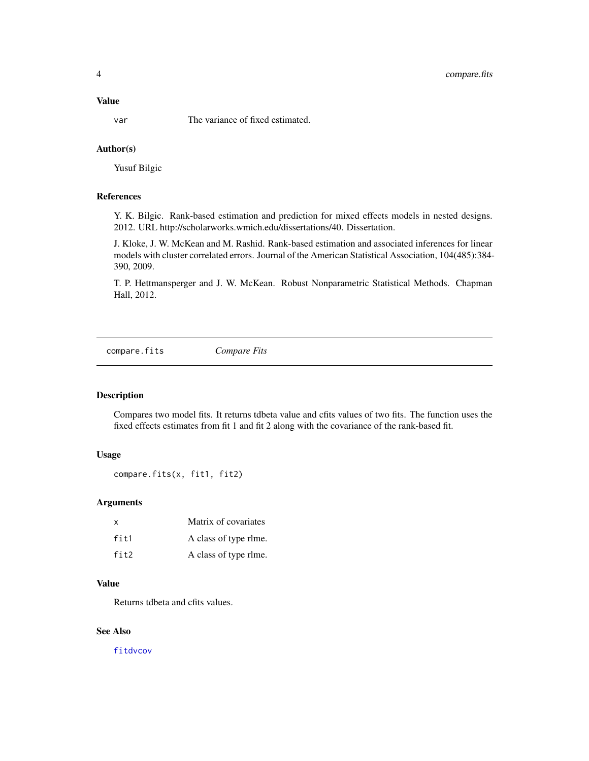# <span id="page-3-0"></span>4 compare.fits

#### Value

var The variance of fixed estimated.

#### Author(s)

Yusuf Bilgic

# References

Y. K. Bilgic. Rank-based estimation and prediction for mixed effects models in nested designs. 2012. URL http://scholarworks.wmich.edu/dissertations/40. Dissertation.

J. Kloke, J. W. McKean and M. Rashid. Rank-based estimation and associated inferences for linear models with cluster correlated errors. Journal of the American Statistical Association, 104(485):384- 390, 2009.

T. P. Hettmansperger and J. W. McKean. Robust Nonparametric Statistical Methods. Chapman Hall, 2012.

<span id="page-3-1"></span>compare.fits *Compare Fits*

# Description

Compares two model fits. It returns tdbeta value and cfits values of two fits. The function uses the fixed effects estimates from fit 1 and fit 2 along with the covariance of the rank-based fit.

## Usage

```
compare.fits(x, fit1, fit2)
```
#### Arguments

| x    | Matrix of covariates  |
|------|-----------------------|
| fit1 | A class of type rlme. |
| fit2 | A class of type rlme. |

#### Value

Returns tdbeta and cfits values.

#### See Also

[fitdvcov](#page-5-1)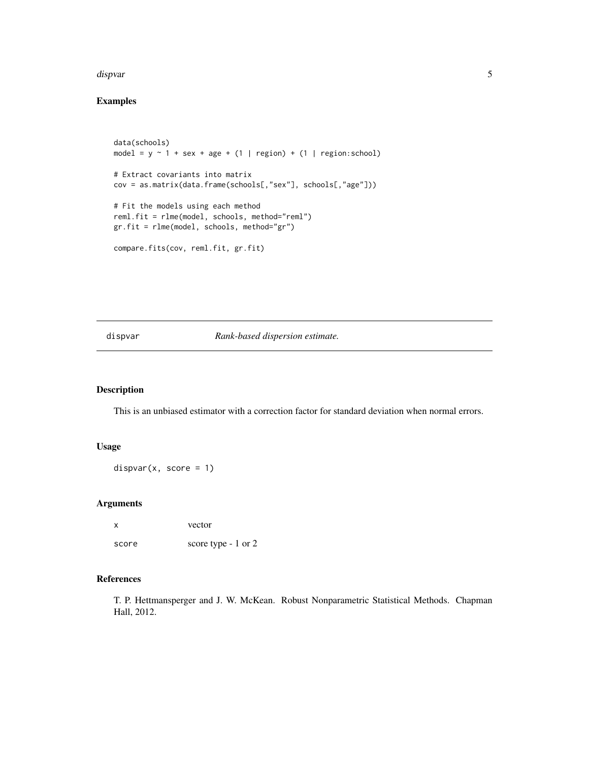#### <span id="page-4-0"></span>dispvar 500 m states of the states of the states of the states of the states of the states of the states of the states of the states of the states of the states of the states of the states of the states of the states of th

# Examples

```
data(schools)
model = y \sim 1 + sex + age + (1 | region) + (1 | region:school)
# Extract covariants into matrix
cov = as.matrix(data.frame(schools[,"sex"], schools[,"age"]))
# Fit the models using each method
reml.fit = rlme(model, schools, method="reml")
gr.fit = rlme(model, schools, method="gr")
compare.fits(cov, reml.fit, gr.fit)
```
<span id="page-4-1"></span>dispvar *Rank-based dispersion estimate.*

#### Description

This is an unbiased estimator with a correction factor for standard deviation when normal errors.

#### Usage

 $dispvar(x, score = 1)$ 

#### Arguments

x vector score score type - 1 or 2

#### References

T. P. Hettmansperger and J. W. McKean. Robust Nonparametric Statistical Methods. Chapman Hall, 2012.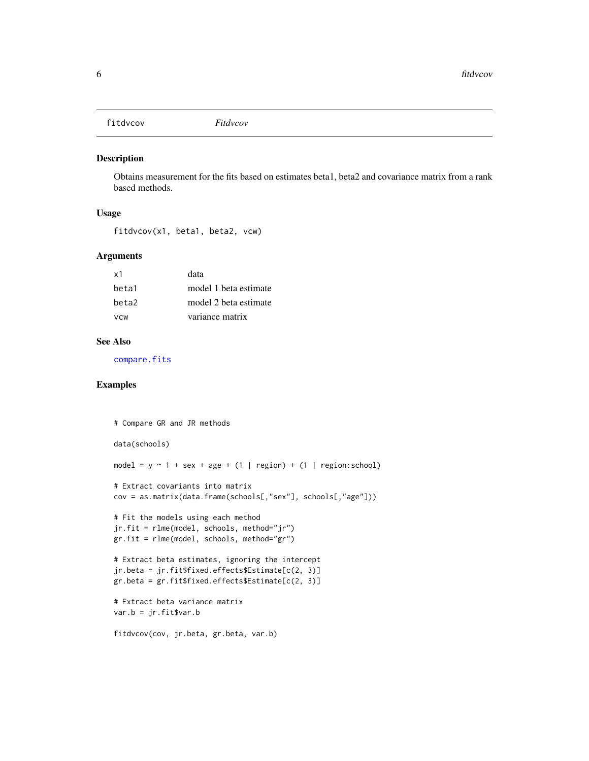<span id="page-5-1"></span><span id="page-5-0"></span>fitdvcov *Fitdvcov*

#### Description

Obtains measurement for the fits based on estimates beta1, beta2 and covariance matrix from a rank based methods.

#### Usage

```
fitdvcov(x1, beta1, beta2, vcw)
```
#### Arguments

| x1         | data                  |
|------------|-----------------------|
| beta1      | model 1 beta estimate |
| beta2      | model 2 beta estimate |
| <b>VCW</b> | variance matrix       |

#### See Also

[compare.fits](#page-3-1)

#### Examples

```
# Compare GR and JR methods
data(schools)
model = y \sim 1 + \text{sex} + \text{age} + (1 + \text{region}) + (1 + \text{region}:\text{school})# Extract covariants into matrix
cov = as.matrix(data.frame(schools[,"sex"], schools[,"age"]))
# Fit the models using each method
jr.fit = rlme(model, schools, method="jr")
gr.fit = rlme(model, schools, method="gr")
# Extract beta estimates, ignoring the intercept
jr.beta = jr.fit$fixed.effects$Estimate[c(2, 3)]
gr.beta = gr.fit$fixed.effects$Estimate[c(2, 3)]
# Extract beta variance matrix
var.b = jr.fit$var.b
fitdvcov(cov, jr.beta, gr.beta, var.b)
```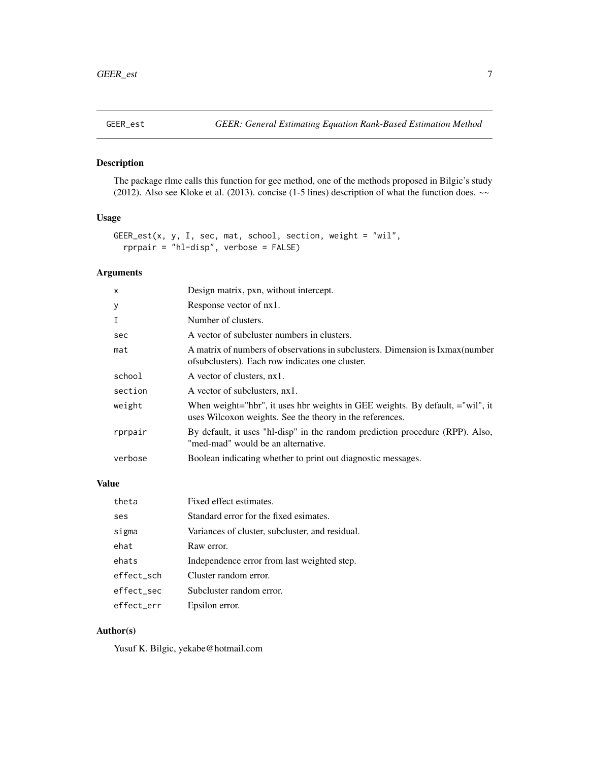<span id="page-6-0"></span>

# Description

The package rlme calls this function for gee method, one of the methods proposed in Bilgic's study (2012). Also see Kloke et al. (2013). concise (1-5 lines) description of what the function does. ~~

#### Usage

```
GEER_est(x, y, I, sec, mat, school, section, weight = "wil",
  rprpair = "hl-disp", verbose = FALSE)
```
# Arguments

| $\mathsf{x}$ | Design matrix, pxn, without intercept.                                                                                                    |
|--------------|-------------------------------------------------------------------------------------------------------------------------------------------|
| У            | Response vector of nx1.                                                                                                                   |
| $\mathbf I$  | Number of clusters.                                                                                                                       |
| sec          | A vector of subcluster numbers in clusters.                                                                                               |
| mat          | A matrix of numbers of observations in subclusters. Dimension is Ixmax (number<br>of subclusters). Each row indicates one cluster.        |
| school       | A vector of clusters, nx1.                                                                                                                |
| section      | A vector of subclusters, nx1.                                                                                                             |
| weight       | When weight="hbr", it uses hbr weights in GEE weights. By default, ="wil", it<br>uses Wilcoxon weights. See the theory in the references. |
| rprpair      | By default, it uses "hl-disp" in the random prediction procedure (RPP). Also,<br>"med-mad" would be an alternative.                       |
| verbose      | Boolean indicating whether to print out diagnostic messages.                                                                              |

#### Value

| theta      | Fixed effect estimates.                         |
|------------|-------------------------------------------------|
| ses        | Standard error for the fixed esimates.          |
| sigma      | Variances of cluster, subcluster, and residual. |
| ehat       | Raw error.                                      |
| ehats      | Independence error from last weighted step.     |
| effect sch | Cluster random error.                           |
| effect sec | Subcluster random error.                        |
| effect err | Epsilon error.                                  |

#### Author(s)

Yusuf K. Bilgic, yekabe@hotmail.com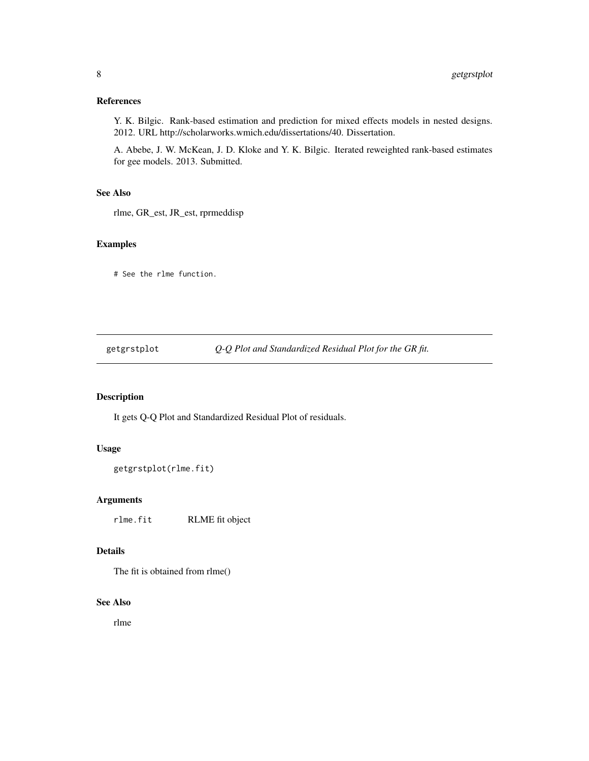# <span id="page-7-0"></span>References

Y. K. Bilgic. Rank-based estimation and prediction for mixed effects models in nested designs. 2012. URL http://scholarworks.wmich.edu/dissertations/40. Dissertation.

A. Abebe, J. W. McKean, J. D. Kloke and Y. K. Bilgic. Iterated reweighted rank-based estimates for gee models. 2013. Submitted.

#### See Also

rlme, GR\_est, JR\_est, rprmeddisp

# Examples

# See the rlme function.

getgrstplot *Q-Q Plot and Standardized Residual Plot for the GR fit.*

# Description

It gets Q-Q Plot and Standardized Residual Plot of residuals.

# Usage

```
getgrstplot(rlme.fit)
```
# Arguments

rlme.fit RLME fit object

#### Details

The fit is obtained from rlme()

# See Also

rlme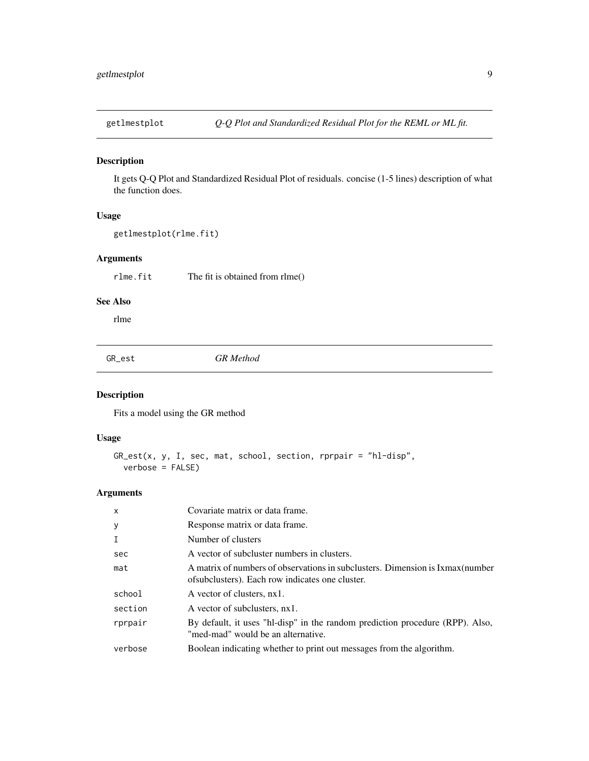<span id="page-8-0"></span>

# Description

It gets Q-Q Plot and Standardized Residual Plot of residuals. concise (1-5 lines) description of what the function does.

#### Usage

```
getlmestplot(rlme.fit)
```
# Arguments

rlme.fit The fit is obtained from rlme()

# See Also

rlme

GR\_est *GR Method*

# Description

Fits a model using the GR method

#### Usage

```
GR_est(x, y, I, sec, mat, school, section, rprpair = "hl-disp",
 verbose = FALSE)
```

| $\mathsf{x}$ | Covariate matrix or data frame.                                                                                                    |
|--------------|------------------------------------------------------------------------------------------------------------------------------------|
| У            | Response matrix or data frame.                                                                                                     |
| $\mathbf I$  | Number of clusters                                                                                                                 |
| sec          | A vector of subcluster numbers in clusters.                                                                                        |
| mat          | A matrix of numbers of observations in subclusters. Dimension is Ixmax (number<br>of subclusters). Each row indicates one cluster. |
| school       | A vector of clusters, nx1.                                                                                                         |
| section      | A vector of subclusters, nx1.                                                                                                      |
| rprpair      | By default, it uses "hl-disp" in the random prediction procedure (RPP). Also,<br>"med-mad" would be an alternative.                |
| verbose      | Boolean indicating whether to print out messages from the algorithm.                                                               |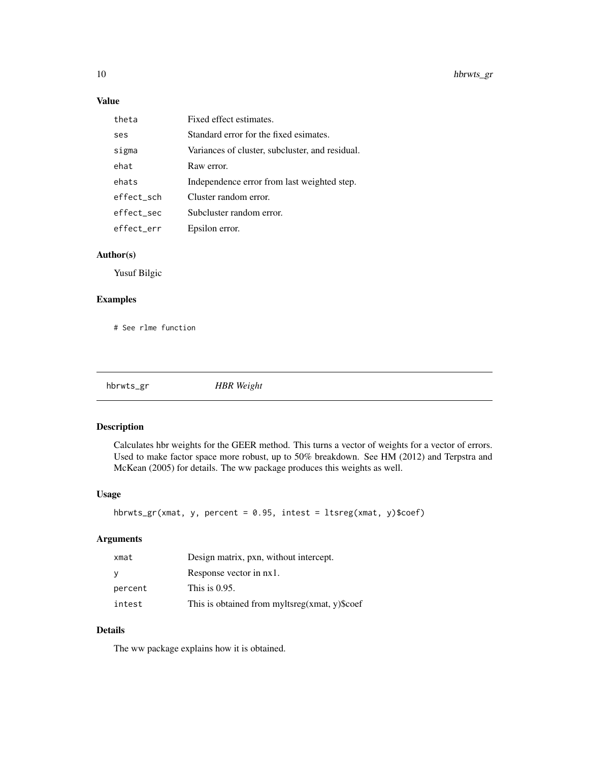# Value

| theta      | Fixed effect estimates.                         |
|------------|-------------------------------------------------|
| ses        | Standard error for the fixed esimates.          |
| sigma      | Variances of cluster, subcluster, and residual. |
| ehat       | Raw error.                                      |
| ehats      | Independence error from last weighted step.     |
| effect sch | Cluster random error.                           |
| effect sec | Subcluster random error.                        |
| effect err | Epsilon error.                                  |

# Author(s)

Yusuf Bilgic

# Examples

# See rlme function

| hbrwts_gr | <b>HBR</b> Weight |
|-----------|-------------------|
|           |                   |

# Description

Calculates hbr weights for the GEER method. This turns a vector of weights for a vector of errors. Used to make factor space more robust, up to 50% breakdown. See HM (2012) and Terpstra and McKean (2005) for details. The ww package produces this weights as well.

#### Usage

```
hbrwts_gr(xmat, y, percent = 0.95, intest = ltsreg(xmat, y)$coef)
```
# Arguments

| xmat    | Design matrix, pxn, without intercept.        |
|---------|-----------------------------------------------|
| y       | Response vector in nx1.                       |
| percent | This is $0.95$ .                              |
| intest  | This is obtained from myltsreg(xmat, y)\$coef |

# Details

The ww package explains how it is obtained.

<span id="page-9-0"></span>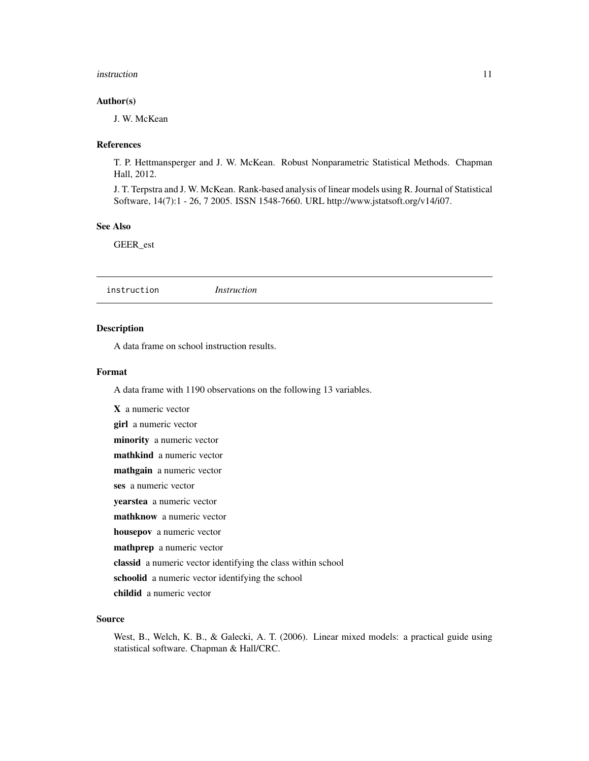#### <span id="page-10-0"></span>instruction 11

#### Author(s)

J. W. McKean

#### References

T. P. Hettmansperger and J. W. McKean. Robust Nonparametric Statistical Methods. Chapman Hall, 2012.

J. T. Terpstra and J. W. McKean. Rank-based analysis of linear models using R. Journal of Statistical Software, 14(7):1 - 26, 7 2005. ISSN 1548-7660. URL http://www.jstatsoft.org/v14/i07.

#### See Also

GEER\_est

instruction *Instruction*

#### Description

A data frame on school instruction results.

#### Format

A data frame with 1190 observations on the following 13 variables.

X a numeric vector girl a numeric vector minority a numeric vector mathkind a numeric vector mathgain a numeric vector ses a numeric vector yearstea a numeric vector mathknow a numeric vector housepov a numeric vector mathprep a numeric vector classid a numeric vector identifying the class within school schoolid a numeric vector identifying the school childid a numeric vector

#### Source

West, B., Welch, K. B., & Galecki, A. T. (2006). Linear mixed models: a practical guide using statistical software. Chapman & Hall/CRC.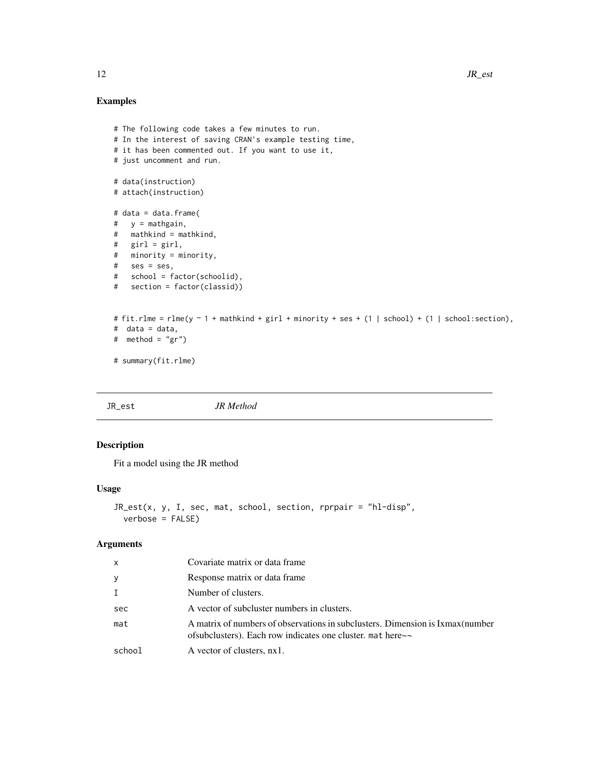# Examples

```
# The following code takes a few minutes to run.
# In the interest of saving CRAN's example testing time,
# it has been commented out. If you want to use it,
# just uncomment and run.
# data(instruction)
# attach(instruction)
# data = data.frame(
# y = mathgain,
# mathkind = mathkind,
# girl = girl,
# minority = minority,
# ses = ses,
# school = factor(schoolid),
# section = factor(classid))
# fit.rlme = rlme(y \sim 1 + mathkind + girl + minority + ses + (1 | school) + (1 | school:section),
# data = data,
# method = "gr")# summary(fit.rlme)
```
JR\_est *JR Method*

# Description

Fit a model using the JR method

#### Usage

```
JR\_est(x, y, I, sec, mat, school, section, rprpair = "hl-disp",verbose = FALSE)
```

| $\mathsf{x}$ | Covariate matrix or data frame                                                                                                                     |
|--------------|----------------------------------------------------------------------------------------------------------------------------------------------------|
| У            | Response matrix or data frame                                                                                                                      |
| Ι.           | Number of clusters.                                                                                                                                |
| sec          | A vector of subcluster numbers in clusters.                                                                                                        |
| mat          | A matrix of numbers of observations in subclusters. Dimension is Ixmax (number<br>of subclusters). Each row indicates one cluster, mat here $\sim$ |
| school       | A vector of clusters, nx1.                                                                                                                         |

<span id="page-11-0"></span>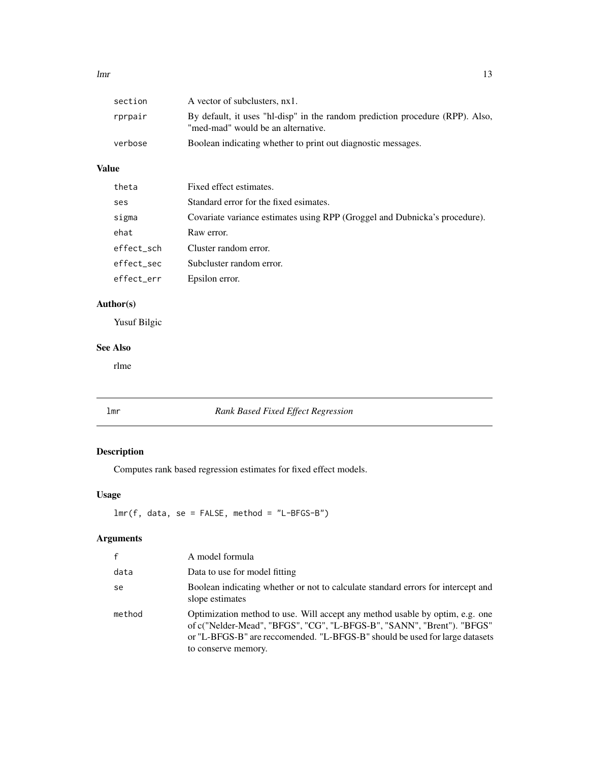#### <span id="page-12-0"></span> $lmr$  and  $13$

| section | A vector of subclusters, nx1.                                                                                       |
|---------|---------------------------------------------------------------------------------------------------------------------|
| rprpair | By default, it uses "hl-disp" in the random prediction procedure (RPP). Also,<br>"med-mad" would be an alternative. |
| verbose | Boolean indicating whether to print out diagnostic messages.                                                        |

# Value

| theta      | Fixed effect estimates.                                                    |
|------------|----------------------------------------------------------------------------|
| ses        | Standard error for the fixed esimates.                                     |
| sigma      | Covariate variance estimates using RPP (Groggel and Dubnicka's procedure). |
| ehat       | Raw error.                                                                 |
| effect_sch | Cluster random error.                                                      |
| effect_sec | Subcluster random error.                                                   |
| effect_err | Epsilon error.                                                             |

# Author(s)

Yusuf Bilgic

# See Also

rlme

lmr *Rank Based Fixed Effect Regression*

# Description

Computes rank based regression estimates for fixed effect models.

# Usage

lmr(f, data, se = FALSE, method = "L-BFGS-B")

| f      | A model formula                                                                                                                                                                                                                                              |
|--------|--------------------------------------------------------------------------------------------------------------------------------------------------------------------------------------------------------------------------------------------------------------|
| data   | Data to use for model fitting                                                                                                                                                                                                                                |
| se     | Boolean indicating whether or not to calculate standard errors for intercept and<br>slope estimates                                                                                                                                                          |
| method | Optimization method to use. Will accept any method usable by optim, e.g. one<br>of c("Nelder-Mead", "BFGS", "CG", "L-BFGS-B", "SANN", "Brent"). "BFGS"<br>or "L-BFGS-B" are reccomended. "L-BFGS-B" should be used for large datasets<br>to conserve memory. |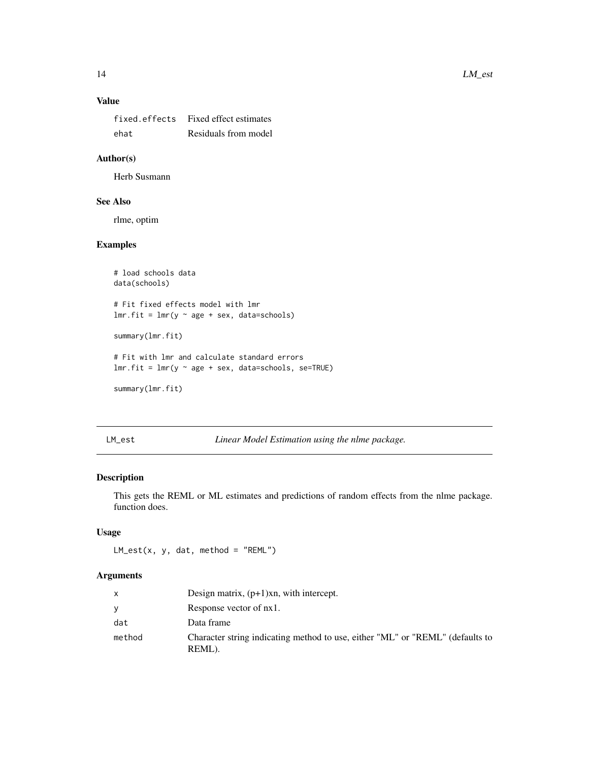# <span id="page-13-0"></span>Value

| fixed.effects | Fixed effect estimates |
|---------------|------------------------|
| ehat          | Residuals from model   |

# Author(s)

Herb Susmann

# See Also

rlme, optim

#### Examples

```
# load schools data
data(schools)
# Fit fixed effects model with lmr
lmr.fit = lmr(y ~ age + sex, data=schools)summary(lmr.fit)
# Fit with lmr and calculate standard errors
lmr.fit = lmr(y \sim age + sex, data=schools, se=TRUE)summary(lmr.fit)
```
LM\_est *Linear Model Estimation using the nlme package.*

# Description

This gets the REML or ML estimates and predictions of random effects from the nlme package. function does.

#### Usage

 $LM\_est(x, y, dat, method = "REM")$ 

| $\mathsf{x}$ | Design matrix, $(p+1)$ xn, with intercept.                                              |
|--------------|-----------------------------------------------------------------------------------------|
| <b>y</b>     | Response vector of nx1.                                                                 |
| dat          | Data frame                                                                              |
| method       | Character string indicating method to use, either "ML" or "REML" (defaults to<br>REML). |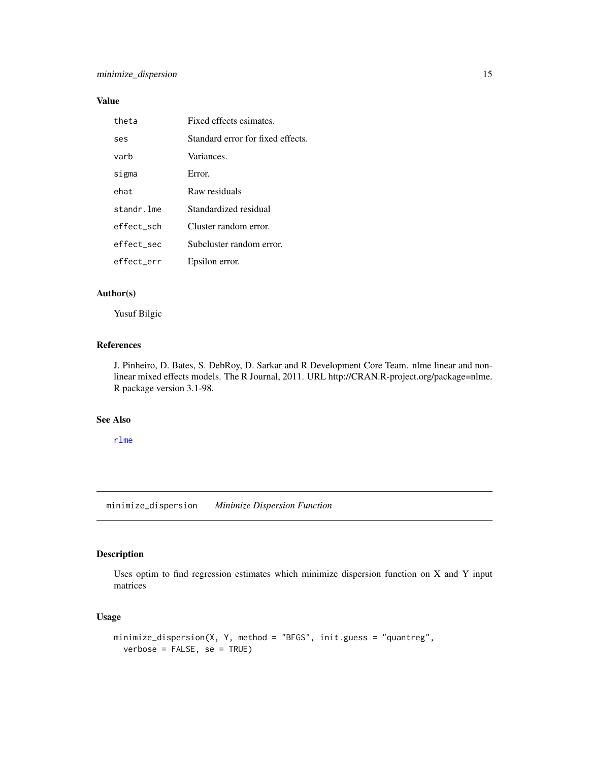# <span id="page-14-0"></span>Value

| theta      | Fixed effects esimates.           |
|------------|-----------------------------------|
| ses        | Standard error for fixed effects. |
| varb       | Variances.                        |
| sigma      | Error.                            |
| ehat       | Raw residuals                     |
| standr.lme | Standardized residual             |
| effect sch | Cluster random error.             |
| effect sec | Subcluster random error.          |
| effect err | Epsilon error.                    |

### Author(s)

Yusuf Bilgic

# References

J. Pinheiro, D. Bates, S. DebRoy, D. Sarkar and R Development Core Team. nlme linear and nonlinear mixed effects models. The R Journal, 2011. URL http://CRAN.R-project.org/package=nlme. R package version 3.1-98.

# See Also

[rlme](#page-17-1)

minimize\_dispersion *Minimize Dispersion Function*

# Description

Uses optim to find regression estimates which minimize dispersion function on X and Y input matrices

# Usage

```
minimize_dispersion(X, Y, method = "BFGS", init.guess = "quantreg",
  verbose = FALSE, se = TRUE)
```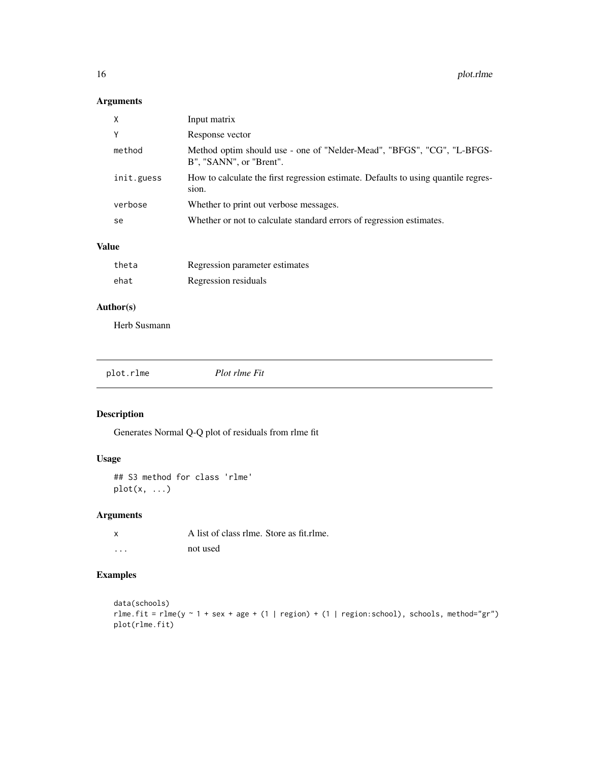# <span id="page-15-0"></span>Arguments

| X          | Input matrix                                                                                      |
|------------|---------------------------------------------------------------------------------------------------|
| Y          | Response vector                                                                                   |
| method     | Method optim should use - one of "Nelder-Mead", "BFGS", "CG", "L-BFGS-<br>B", "SANN", or "Brent". |
| init.guess | How to calculate the first regression estimate. Defaults to using quantile regres-<br>sion.       |
| verbose    | Whether to print out verbose messages.                                                            |
| se         | Whether or not to calculate standard errors of regression estimates.                              |

# Value

| theta | Regression parameter estimates |
|-------|--------------------------------|
| ehat  | Regression residuals           |

# Author(s)

Herb Susmann

<span id="page-15-1"></span>

| plot.rlme | Plot rlme Fit |  |
|-----------|---------------|--|
|           |               |  |

# Description

Generates Normal Q-Q plot of residuals from rlme fit

#### Usage

## S3 method for class 'rlme'  $plot(x, \ldots)$ 

# Arguments

| x | A list of class rlme. Store as fit.rlme. |
|---|------------------------------------------|
| . | not used                                 |

# Examples

```
data(schools)
rlme.fit = rlme(y \sim 1 + sex + age + (1 | region) + (1 | region:school), schools, method="gr")
plot(rlme.fit)
```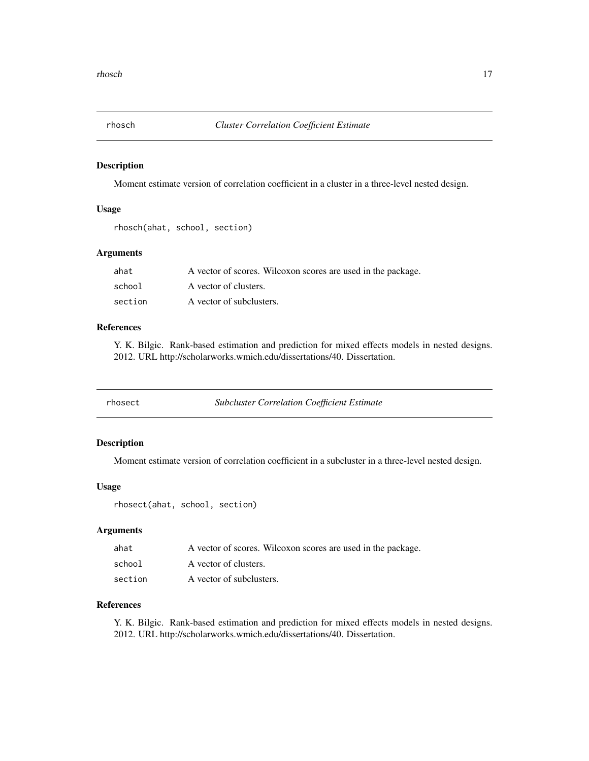<span id="page-16-0"></span>

# Description

Moment estimate version of correlation coefficient in a cluster in a three-level nested design.

#### Usage

```
rhosch(ahat, school, section)
```
# Arguments

| ahat    | A vector of scores. Wilcoxon scores are used in the package. |
|---------|--------------------------------------------------------------|
| school  | A vector of clusters.                                        |
| section | A vector of subclusters.                                     |

#### References

Y. K. Bilgic. Rank-based estimation and prediction for mixed effects models in nested designs. 2012. URL http://scholarworks.wmich.edu/dissertations/40. Dissertation.

| rhosect | <b>Subcluster Correlation Coefficient Estimate</b> |
|---------|----------------------------------------------------|
|---------|----------------------------------------------------|

# Description

Moment estimate version of correlation coefficient in a subcluster in a three-level nested design.

#### Usage

rhosect(ahat, school, section)

#### Arguments

| ahat    | A vector of scores. Wilcoxon scores are used in the package. |
|---------|--------------------------------------------------------------|
| school  | A vector of clusters.                                        |
| section | A vector of subclusters.                                     |

#### References

Y. K. Bilgic. Rank-based estimation and prediction for mixed effects models in nested designs. 2012. URL http://scholarworks.wmich.edu/dissertations/40. Dissertation.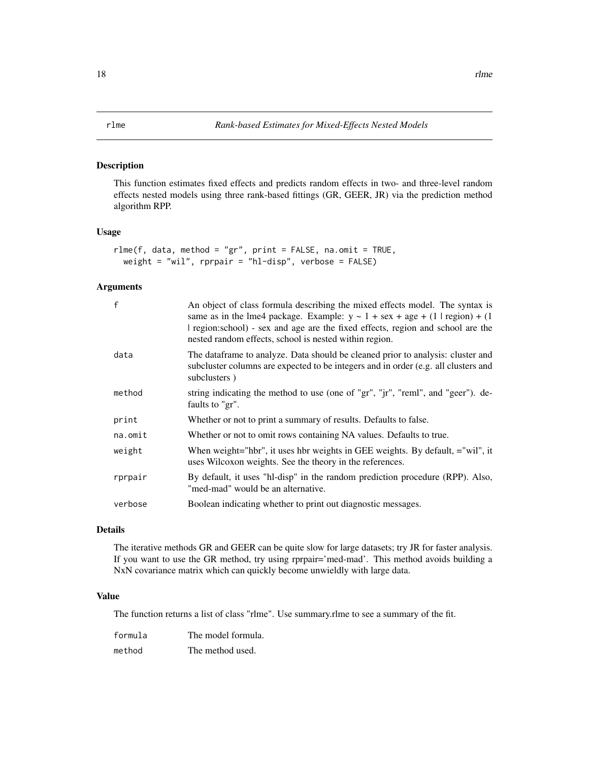#### <span id="page-17-1"></span><span id="page-17-0"></span>Description

This function estimates fixed effects and predicts random effects in two- and three-level random effects nested models using three rank-based fittings (GR, GEER, JR) via the prediction method algorithm RPP.

#### Usage

```
rlmef, data, method = "gr", print = FALSE, na omit = TRUE,weight = "wil", rprpair = "hl-disp", verbose = FALSE)
```
#### Arguments

| f          | An object of class formula describing the mixed effects model. The syntax is<br>same as in the lme4 package. Example: $y \sim 1 + \text{sex} + \text{age} + (1 \mid \text{region}) + (1 \mid \text{resp.})$<br>region:school) - sex and age are the fixed effects, region and school are the<br>nested random effects, school is nested within region. |
|------------|--------------------------------------------------------------------------------------------------------------------------------------------------------------------------------------------------------------------------------------------------------------------------------------------------------------------------------------------------------|
| data       | The dataframe to analyze. Data should be cleaned prior to analysis: cluster and<br>subcluster columns are expected to be integers and in order (e.g. all clusters and<br>subclusters)                                                                                                                                                                  |
| method     | string indicating the method to use (one of "gr", "jr", "reml", and "geer"). de-<br>faults to "gr".                                                                                                                                                                                                                                                    |
| print      | Whether or not to print a summary of results. Defaults to false.                                                                                                                                                                                                                                                                                       |
| $na.$ omit | Whether or not to omit rows containing NA values. Defaults to true.                                                                                                                                                                                                                                                                                    |
| weight     | When weight="hbr", it uses hbr weights in GEE weights. By default, ="wil", it<br>uses Wilcoxon weights. See the theory in the references.                                                                                                                                                                                                              |
| rprpair    | By default, it uses "hl-disp" in the random prediction procedure (RPP). Also,<br>"med-mad" would be an alternative.                                                                                                                                                                                                                                    |
| verbose    | Boolean indicating whether to print out diagnostic messages.                                                                                                                                                                                                                                                                                           |

# Details

The iterative methods GR and GEER can be quite slow for large datasets; try JR for faster analysis. If you want to use the GR method, try using rprpair='med-mad'. This method avoids building a NxN covariance matrix which can quickly become unwieldly with large data.

#### Value

The function returns a list of class "rlme". Use summary.rlme to see a summary of the fit.

| formula | The model formula. |
|---------|--------------------|
| method  | The method used.   |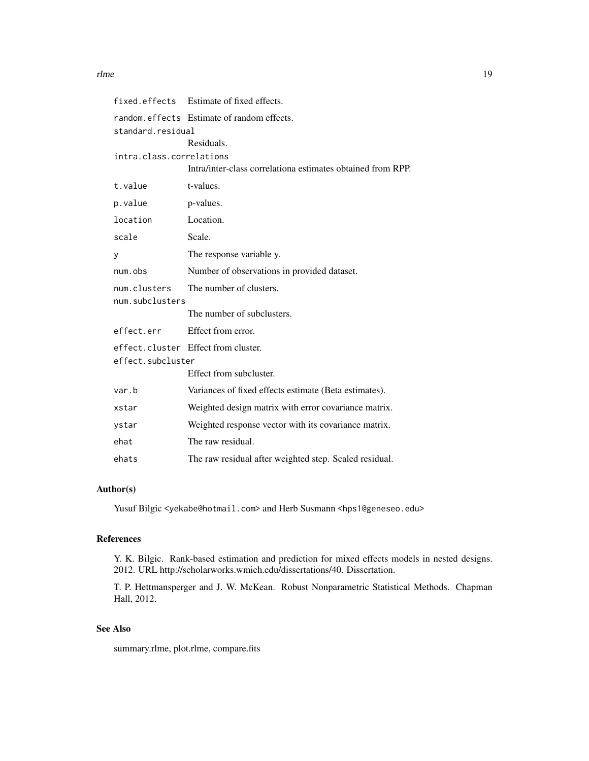| fixed.effects            | Estimate of fixed effects.                                  |  |
|--------------------------|-------------------------------------------------------------|--|
|                          | random.effects Estimate of random effects.                  |  |
| standard.residual        |                                                             |  |
|                          | Residuals.                                                  |  |
| intra.class.correlations |                                                             |  |
|                          | Intra/inter-class correlationa estimates obtained from RPP. |  |
| t.value                  | t-values.                                                   |  |
| p.value                  | p-values.                                                   |  |
| location                 | Location.                                                   |  |
| scale                    | Scale.                                                      |  |
| У                        | The response variable y.                                    |  |
| num.obs                  | Number of observations in provided dataset.                 |  |
| num.clusters             | The number of clusters.                                     |  |
| num.subclusters          |                                                             |  |
|                          | The number of subclusters.                                  |  |
| effect.err               | Effect from error.                                          |  |
|                          | effect.cluster Effect from cluster.                         |  |
| effect.subcluster        |                                                             |  |
|                          | Effect from subcluster.                                     |  |
| var.b                    | Variances of fixed effects estimate (Beta estimates).       |  |
| xstar                    | Weighted design matrix with error covariance matrix.        |  |
| ystar                    | Weighted response vector with its covariance matrix.        |  |
| ehat                     | The raw residual.                                           |  |
| ehats                    | The raw residual after weighted step. Scaled residual.      |  |

# Author(s)

Yusuf Bilgic <yekabe@hotmail.com> and Herb Susmann <hps1@geneseo.edu>

# References

Y. K. Bilgic. Rank-based estimation and prediction for mixed effects models in nested designs. 2012. URL http://scholarworks.wmich.edu/dissertations/40. Dissertation.

T. P. Hettmansperger and J. W. McKean. Robust Nonparametric Statistical Methods. Chapman Hall, 2012.

# See Also

summary.rlme, plot.rlme, compare.fits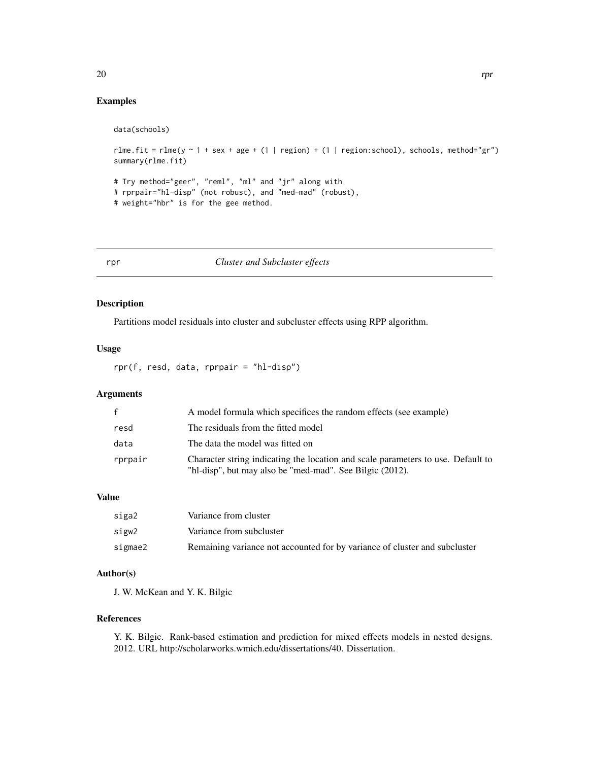```
data(schools)
```
rlme.fit = rlme(y  $\sim$  1 + sex + age + (1 | region) + (1 | region:school), schools, method="gr") summary(rlme.fit)

```
# Try method="geer", "reml", "ml" and "jr" along with
# rprpair="hl-disp" (not robust), and "med-mad" (robust),
# weight="hbr" is for the gee method.
```
# <span id="page-19-1"></span>rpr *Cluster and Subcluster effects*

#### Description

Partitions model residuals into cluster and subcluster effects using RPP algorithm.

#### Usage

rpr(f, resd, data, rprpair = "hl-disp")

# Arguments

| $\mathsf{f}$ | A model formula which specifices the random effects (see example)                                                                            |
|--------------|----------------------------------------------------------------------------------------------------------------------------------------------|
| resd         | The residuals from the fitted model                                                                                                          |
| data         | The data the model was fitted on                                                                                                             |
| rprpair      | Character string indicating the location and scale parameters to use. Default to<br>"hl-disp", but may also be "med-mad". See Bilgic (2012). |

#### Value

| siga2   | Variance from cluster                                                      |
|---------|----------------------------------------------------------------------------|
| sigw2   | Variance from subcluster                                                   |
| sigmae2 | Remaining variance not accounted for by variance of cluster and subcluster |

#### Author(s)

J. W. McKean and Y. K. Bilgic

#### References

Y. K. Bilgic. Rank-based estimation and prediction for mixed effects models in nested designs. 2012. URL http://scholarworks.wmich.edu/dissertations/40. Dissertation.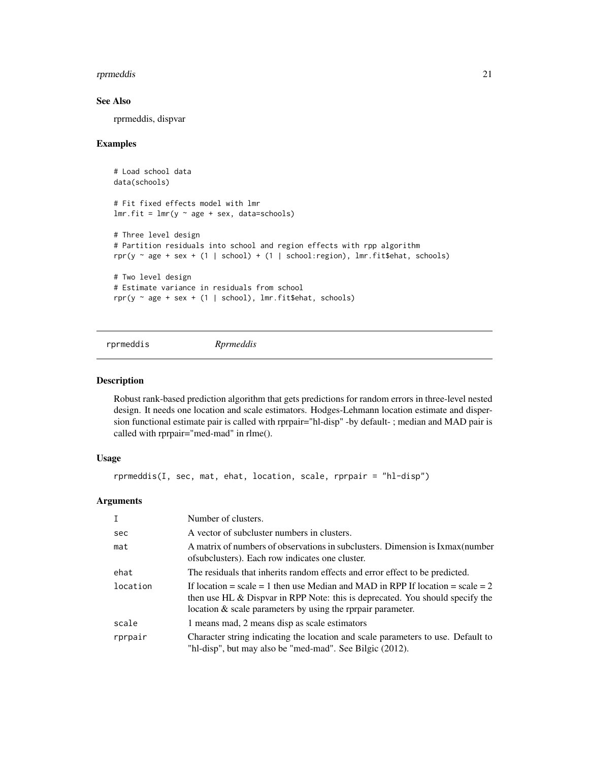#### <span id="page-20-0"></span>rprmeddis 21

#### See Also

rprmeddis, dispvar

#### Examples

```
# Load school data
data(schools)
# Fit fixed effects model with lmr
lmr.fit = lmr(y ~ age + sex, data=schools)# Three level design
# Partition residuals into school and region effects with rpp algorithm
rpr(y \sim age + sex + (1 | school) + (1 | school:region), lmr.fit$ehat, schools)
# Two level design
# Estimate variance in residuals from school
rpr(y \sim age + sex + (1 | school), lmr.fit$ehat, schools)
```
rprmeddis *Rprmeddis*

#### Description

Robust rank-based prediction algorithm that gets predictions for random errors in three-level nested design. It needs one location and scale estimators. Hodges-Lehmann location estimate and dispersion functional estimate pair is called with rprpair="hl-disp" -by default- ; median and MAD pair is called with rprpair="med-mad" in rlme().

#### Usage

rprmeddis(I, sec, mat, ehat, location, scale, rprpair = "hl-disp")

| T        | Number of clusters.                                                                                                                                                                                                                  |
|----------|--------------------------------------------------------------------------------------------------------------------------------------------------------------------------------------------------------------------------------------|
| sec      | A vector of subcluster numbers in clusters.                                                                                                                                                                                          |
| mat      | A matrix of numbers of observations in subclusters. Dimension is Ixmax (number<br>of subclusters). Each row indicates one cluster.                                                                                                   |
| ehat     | The residuals that inherits random effects and error effect to be predicted.                                                                                                                                                         |
| location | If location = scale = 1 then use Median and MAD in RPP If location = scale = 2<br>then use HL $\&$ Dispvar in RPP Note: this is deprecated. You should specify the<br>location $\&$ scale parameters by using the rprpair parameter. |
| scale    | 1 means mad, 2 means disp as scale estimators                                                                                                                                                                                        |
| rprpair  | Character string indicating the location and scale parameters to use. Default to<br>"hl-disp", but may also be "med-mad". See Bilgic (2012).                                                                                         |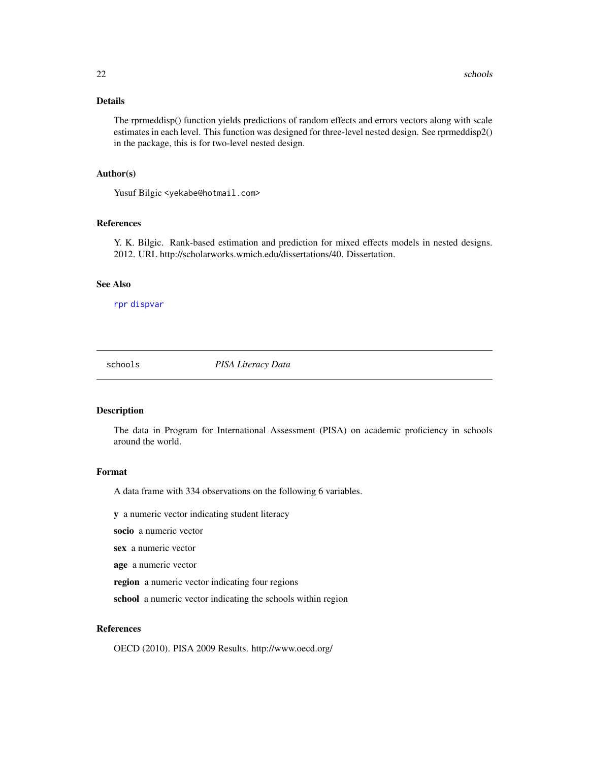#### <span id="page-21-0"></span>Details

The rprmeddisp() function yields predictions of random effects and errors vectors along with scale estimates in each level. This function was designed for three-level nested design. See rprmeddisp2() in the package, this is for two-level nested design.

#### Author(s)

Yusuf Bilgic <yekabe@hotmail.com>

#### References

Y. K. Bilgic. Rank-based estimation and prediction for mixed effects models in nested designs. 2012. URL http://scholarworks.wmich.edu/dissertations/40. Dissertation.

#### See Also

[rpr](#page-19-1) [dispvar](#page-4-1)

schools *PISA Literacy Data*

#### Description

The data in Program for International Assessment (PISA) on academic proficiency in schools around the world.

#### Format

A data frame with 334 observations on the following 6 variables.

y a numeric vector indicating student literacy

socio a numeric vector

sex a numeric vector

age a numeric vector

region a numeric vector indicating four regions

school a numeric vector indicating the schools within region

#### References

OECD (2010). PISA 2009 Results. http://www.oecd.org/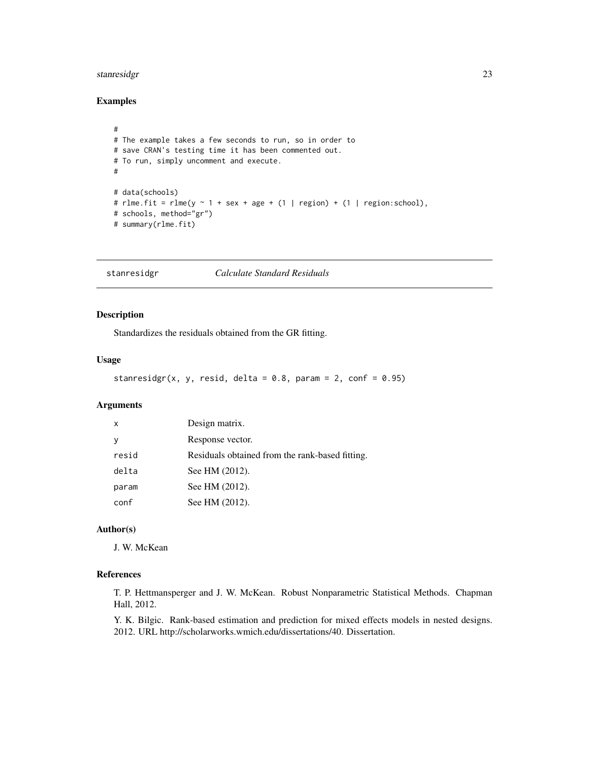# <span id="page-22-0"></span>stanresidgr 23

## Examples

```
#
# The example takes a few seconds to run, so in order to
# save CRAN's testing time it has been commented out.
# To run, simply uncomment and execute.
#
# data(schools)
# rlme.fit = rlme(y \sim 1 + sex + age + (1 | region) + (1 | region:school),
# schools, method="gr")
# summary(rlme.fit)
```
stanresidgr *Calculate Standard Residuals*

# Description

Standardizes the residuals obtained from the GR fitting.

#### Usage

```
stanresidgr(x, y, resid, delta = 0.8, param = 2, conf = 0.95)
```
#### Arguments

| $\boldsymbol{\mathsf{x}}$ | Design matrix.                                  |
|---------------------------|-------------------------------------------------|
| y                         | Response vector.                                |
| resid                     | Residuals obtained from the rank-based fitting. |
| delta                     | See HM (2012).                                  |
| param                     | See HM (2012).                                  |
| conf                      | See HM (2012).                                  |

# Author(s)

J. W. McKean

#### References

T. P. Hettmansperger and J. W. McKean. Robust Nonparametric Statistical Methods. Chapman Hall, 2012.

Y. K. Bilgic. Rank-based estimation and prediction for mixed effects models in nested designs. 2012. URL http://scholarworks.wmich.edu/dissertations/40. Dissertation.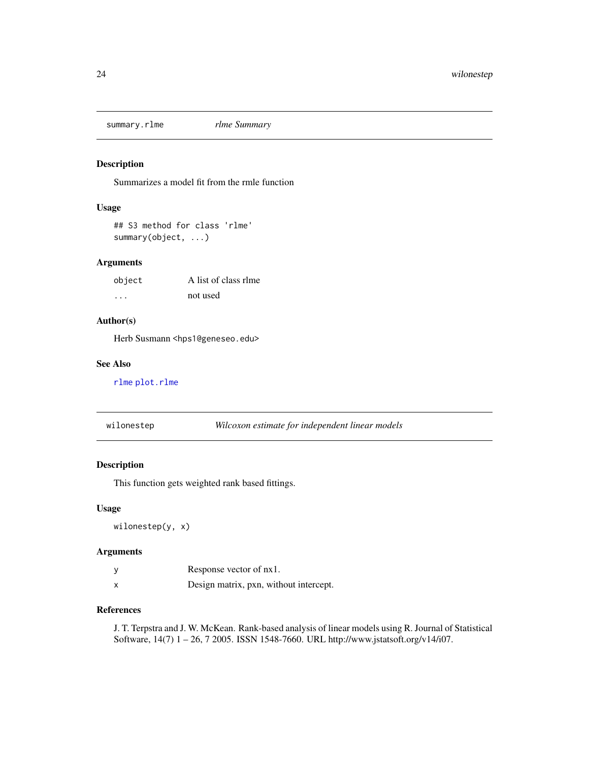<span id="page-23-0"></span>summary.rlme *rlme Summary*

# Description

Summarizes a model fit from the rmle function

#### Usage

## S3 method for class 'rlme' summary(object, ...)

# Arguments

| object | A list of class rlme |
|--------|----------------------|
| .      | not used             |

# Author(s)

Herb Susmann <hps1@geneseo.edu>

#### See Also

[rlme](#page-17-1) [plot.rlme](#page-15-1)

wilonestep *Wilcoxon estimate for independent linear models*

# Description

This function gets weighted rank based fittings.

#### Usage

wilonestep(y, x)

#### Arguments

|   | Response vector of nx1.                |
|---|----------------------------------------|
| X | Design matrix, pxn, without intercept. |

# References

J. T. Terpstra and J. W. McKean. Rank-based analysis of linear models using R. Journal of Statistical Software, 14(7) 1 – 26, 7 2005. ISSN 1548-7660. URL http://www.jstatsoft.org/v14/i07.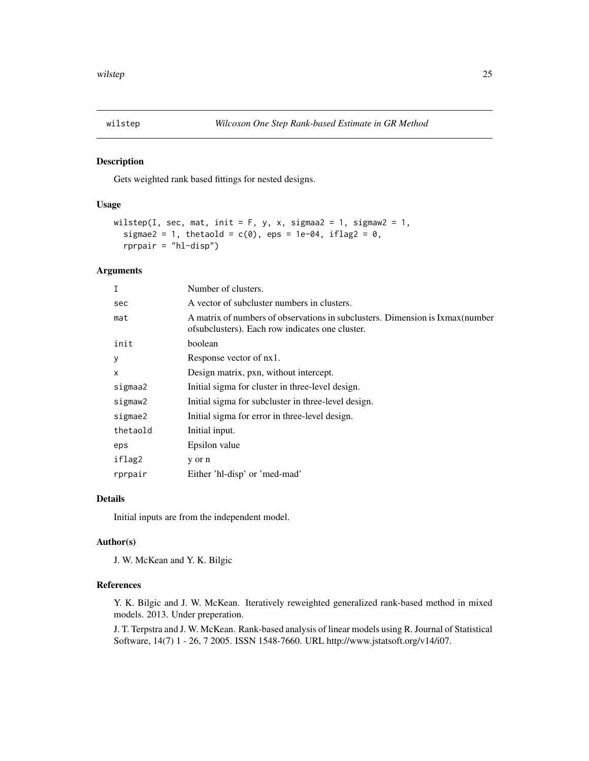<span id="page-24-0"></span>

#### Description

Gets weighted rank based fittings for nested designs.

#### Usage

```
wilstep(I, sec, mat, init = F, y, x, sigmaa2 = 1, sigmaw2 = 1,
  sigmae2 = 1, thetaold = c(0), eps = 1e-04, iflag2 = 0,
  rprpair = "hl-disp")
```
#### Arguments

| I        | Number of clusters.                                                                                                                |
|----------|------------------------------------------------------------------------------------------------------------------------------------|
| sec      | A vector of subcluster numbers in clusters.                                                                                        |
| mat      | A matrix of numbers of observations in subclusters. Dimension is Ixmax (number<br>of subclusters). Each row indicates one cluster. |
| init     | boolean                                                                                                                            |
| У        | Response vector of nx1.                                                                                                            |
| X        | Design matrix, pxn, without intercept.                                                                                             |
| sigmaa2  | Initial sigma for cluster in three-level design.                                                                                   |
| sigmaw2  | Initial sigma for subcluster in three-level design.                                                                                |
| sigmae2  | Initial sigma for error in three-level design.                                                                                     |
| thetaold | Initial input.                                                                                                                     |
| eps      | Epsilon value                                                                                                                      |
| iflag2   | y or n                                                                                                                             |
| rprpair  | Either 'hl-disp' or 'med-mad'                                                                                                      |

#### Details

Initial inputs are from the independent model.

#### Author(s)

J. W. McKean and Y. K. Bilgic

#### References

Y. K. Bilgic and J. W. McKean. Iteratively reweighted generalized rank-based method in mixed models. 2013. Under preperation.

J. T. Terpstra and J. W. McKean. Rank-based analysis of linear models using R. Journal of Statistical Software, 14(7) 1 - 26, 7 2005. ISSN 1548-7660. URL http://www.jstatsoft.org/v14/i07.